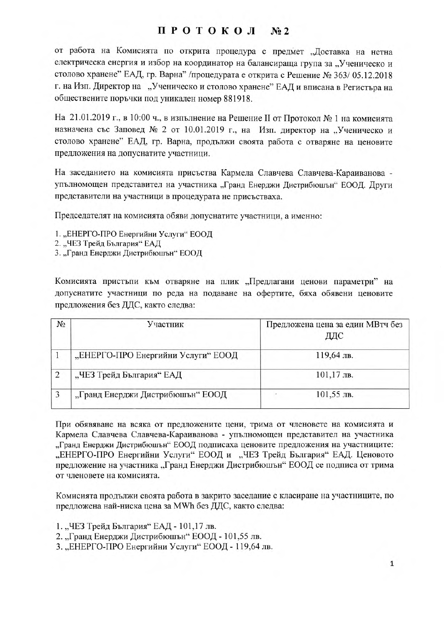## ПРОТОКОЛ  $No<sub>2</sub>$

от работа на Комисията по открита процедура с предмет "Доставка на нетна електрическа енергия и избор на координатор на балансираща група за "Ученическо и столово хранене" ЕАД, гр. Варна" /процедурата е открита с Решение № 363/ 05.12.2018 г. на Изп. Директор на "Ученическо и столово хранене" ЕАД и вписана в Регистъра на обществените поръчки под уникален номер 881918.

На 21.01.2019 г., в 10:00 ч., в изпълнение на Решение II от Протокол № 1 на комисията назначена със Заповед № 2 от 10.01.2019 г., на Изп. директор на "Ученическо и столово хранене" ЕАД, гр. Варна, продължи своята работа с отваряне на ценовите предложения на допуснатите участници.

На заседанието на комисията присъства Кармела Славчева Славчева-Караиванова упълномощен представител на участника "Гранд Енерджи Дистрибюшън" ЕООД. Други представители на участници в процедурата не присъстваха.

Председателят на комисията обяви допуснатите участници, а именно:

1. "ЕНЕРГО-ПРО Енергийни Услуги" ЕООД

2. "ЧЕЗ Трейд България" ЕАД

3. "Гранд Енерджи Дистрибюшън" ЕООД

Комисията пристъпи към отваряне на плик "Предлагани ценови параметри" на допуснатите участници по реда на подаване на офертите, бяха обявени ценовите предложения без ДДС, както следва:

| Nο            | Участник                           | Предложена цена за един МВтч без<br>ДДС |  |  |  |
|---------------|------------------------------------|-----------------------------------------|--|--|--|
|               | "ЕНЕРГО-ПРО Енергийни Услуги" ЕООД | 119,64 лв.                              |  |  |  |
| $\mathcal{D}$ | "ЧЕЗ Трейд България" ЕАД           | $101, 17$ лв.                           |  |  |  |
|               | "Гранд Енерджи Дистрибюшън" ЕООД   | $101,55$ лв.                            |  |  |  |

При обявяване на всяка от предложените цени, трима от членовете на комисията и Кармела Славчева Славчева-Караиванова - упълномощен представител на участника "Гранд Енерджи Дистрибюшън" ЕООД подписаха ценовите предложения на участниците: "ЕНЕРГО-ПРО Енергийни Услуги" ЕООД и "ЧЕЗ Трейд България" ЕАД. Ценовото предложение на участника "Гранд Енерджи Дистрибюшън" ЕООД се подписа от трима от членовете на комисията.

Комисията пролължи своята работа в закрито заселание с класиране на участниците, по предложена най-ниска цена за MWh без ДДС, както следва:

1. "ЧЕЗ Трейд България" ЕАД - 101,17 лв.

2. "Гранд Енерджи Дистрибюшън" ЕООД - 101,55 лв.

3. "ЕНЕРГО-ПРО Енергийни Услуги" ЕООД - 119,64 лв.